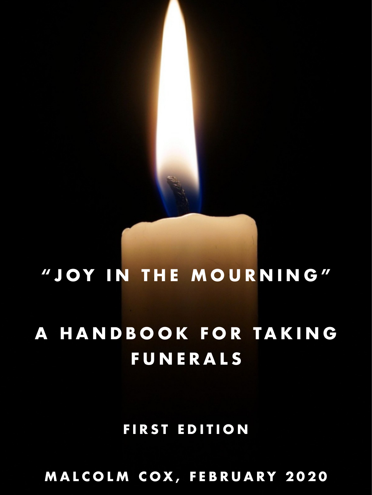# **"JOY IN THE MOURNING" A HANDBOOK FOR TAKING FUNERALS**

### **FIRST EDITION**

**MALCOLM COX, FEBRUARY 2020**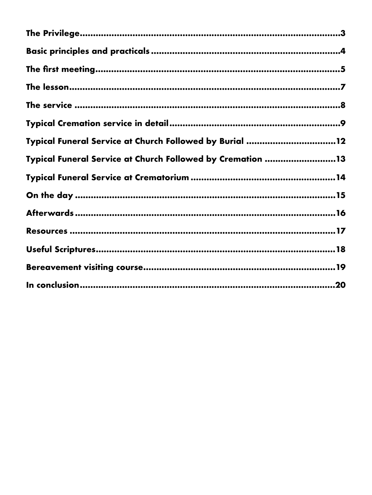| Typical Funeral Service at Church Followed by Burial 12    |     |
|------------------------------------------------------------|-----|
| Typical Funeral Service at Church Followed by Cremation 13 |     |
|                                                            |     |
|                                                            |     |
|                                                            |     |
|                                                            |     |
|                                                            |     |
|                                                            | 19  |
|                                                            | .20 |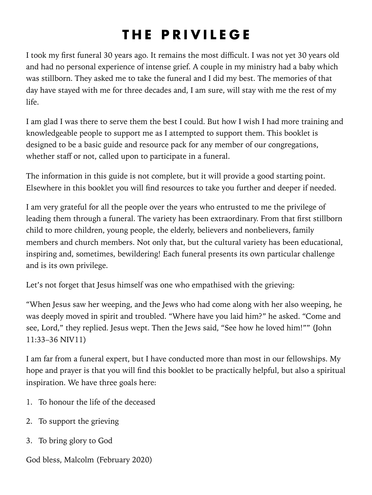### <span id="page-2-0"></span>**THE PRIVILEGE**

I took my first funeral 30 years ago. It remains the most difficult. I was not yet 30 years old and had no personal experience of intense grief. A couple in my ministry had a baby which was stillborn. They asked me to take the funeral and I did my best. The memories of that day have stayed with me for three decades and, I am sure, will stay with me the rest of my life.

I am glad I was there to serve them the best I could. But how I wish I had more training and knowledgeable people to support me as I attempted to support them. This booklet is designed to be a basic guide and resource pack for any member of our congregations, whether staff or not, called upon to participate in a funeral.

The information in this guide is not complete, but it will provide a good starting point. Elsewhere in this booklet you will find resources to take you further and deeper if needed.

I am very grateful for all the people over the years who entrusted to me the privilege of leading them through a funeral. The variety has been extraordinary. From that first stillborn child to more children, young people, the elderly, believers and nonbelievers, family members and church members. Not only that, but the cultural variety has been educational, inspiring and, sometimes, bewildering! Each funeral presents its own particular challenge and is its own privilege.

Let's not forget that Jesus himself was one who empathised with the grieving:

"When Jesus saw her weeping, and the Jews who had come along with her also weeping, he was deeply moved in spirit and troubled. "Where have you laid him?" he asked. "Come and see, Lord," they replied. Jesus wept. Then the Jews said, "See how he loved him!"" (John 11:33–36 NIV11)

I am far from a funeral expert, but I have conducted more than most in our fellowships. My hope and prayer is that you will find this booklet to be practically helpful, but also a spiritual inspiration. We have three goals here:

- 1. To honour the life of the deceased
- 2. To support the grieving
- 3. To bring glory to God

God bless, Malcolm (February 2020)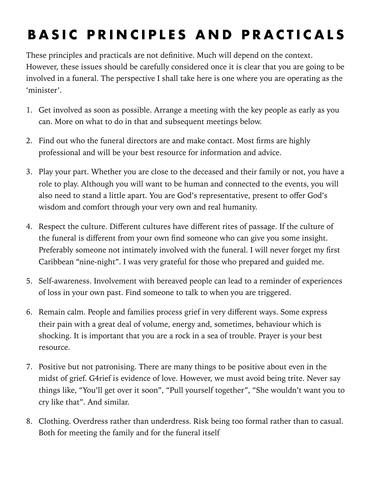## <span id="page-3-0"></span>**BASIC PRINCIPLES AND PRACTICALS**

These principles and practicals are not definitive. Much will depend on the context. However, these issues should be carefully considered once it is clear that you are going to be involved in a funeral. The perspective I shall take here is one where you are operating as the 'minister'.

- 1. Get involved as soon as possible. Arrange a meeting with the key people as early as you can. More on what to do in that and subsequent meetings below.
- 2. Find out who the funeral directors are and make contact. Most firms are highly professional and will be your best resource for information and advice.
- 3. Play your part. Whether you are close to the deceased and their family or not, you have a role to play. Although you will want to be human and connected to the events, you will also need to stand a little apart. You are God's representative, present to offer God's wisdom and comfort through your very own and real humanity.
- 4. Respect the culture. Different cultures have different rites of passage. If the culture of the funeral is different from your own find someone who can give you some insight. Preferably someone not intimately involved with the funeral. I will never forget my first Caribbean "nine-night". I was very grateful for those who prepared and guided me.
- 5. Self-awareness. Involvement with bereaved people can lead to a reminder of experiences of loss in your own past. Find someone to talk to when you are triggered.
- 6. Remain calm. People and families process grief in very different ways. Some express their pain with a great deal of volume, energy and, sometimes, behaviour which is shocking. It is important that you are a rock in a sea of trouble. Prayer is your best resource.
- 7. Positive but not patronising. There are many things to be positive about even in the midst of grief. G4rief is evidence of love. However, we must avoid being trite. Never say things like, "You'll get over it soon", "Pull yourself together", "She wouldn't want you to cry like that". And similar.
- 8. Clothing. Overdress rather than underdress. Risk being too formal rather than to casual. Both for meeting the family and for the funeral itself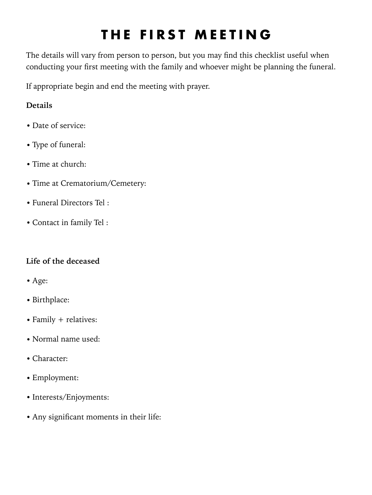### <span id="page-4-0"></span>**THE FIRST MEETING**

The details will vary from person to person, but you may find this checklist useful when conducting your first meeting with the family and whoever might be planning the funeral.

If appropriate begin and end the meeting with prayer.

#### **Details**

- Date of service:
- Type of funeral:
- Time at church:
- Time at Crematorium/Cemetery:
- Funeral Directors Tel :
- Contact in family Tel :

#### **Life of the deceased**

- **•** Age:
- **•** Birthplace:
- Family + relatives:
- **•** Normal name used:
- **•** Character:
- **•** Employment:
- **•** Interests/Enjoyments:
- **•** Any significant moments in their life: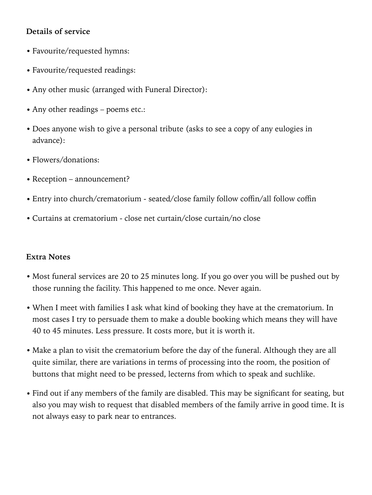#### **Details of service**

- **•** Favourite/requested hymns:
- **•** Favourite/requested readings:
- **•** Any other music (arranged with Funeral Director):
- Any other readings poems etc.:
- **•** Does anyone wish to give a personal tribute (asks to see a copy of any eulogies in advance):
- **•** Flowers/donations:
- **•** Reception announcement?
- **•** Entry into church/crematorium seated/close family follow coffin/all follow coffin
- **•** Curtains at crematorium close net curtain/close curtain/no close

#### **Extra Notes**

- Most funeral services are 20 to 25 minutes long. If you go over you will be pushed out by those running the facility. This happened to me once. Never again.
- When I meet with families I ask what kind of booking they have at the crematorium. In most cases I try to persuade them to make a double booking which means they will have 40 to 45 minutes. Less pressure. It costs more, but it is worth it.
- Make a plan to visit the crematorium before the day of the funeral. Although they are all quite similar, there are variations in terms of processing into the room, the position of buttons that might need to be pressed, lecterns from which to speak and suchlike.
- Find out if any members of the family are disabled. This may be significant for seating, but also you may wish to request that disabled members of the family arrive in good time. It is not always easy to park near to entrances.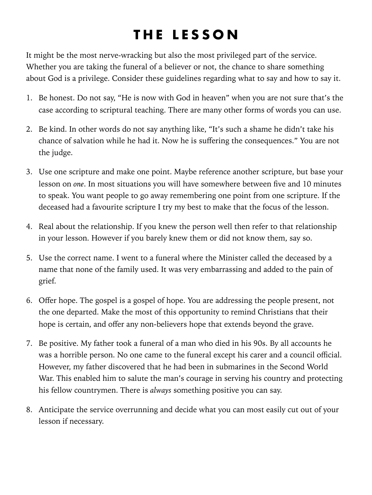### <span id="page-6-0"></span>**THE LESSON**

It might be the most nerve-wracking but also the most privileged part of the service. Whether you are taking the funeral of a believer or not, the chance to share something about God is a privilege. Consider these guidelines regarding what to say and how to say it.

- 1. Be honest. Do not say, "He is now with God in heaven" when you are not sure that's the case according to scriptural teaching. There are many other forms of words you can use.
- 2. Be kind. In other words do not say anything like, "It's such a shame he didn't take his chance of salvation while he had it. Now he is suffering the consequences." You are not the judge.
- 3. Use one scripture and make one point. Maybe reference another scripture, but base your lesson on *one*. In most situations you will have somewhere between five and 10 minutes to speak. You want people to go away remembering one point from one scripture. If the deceased had a favourite scripture I try my best to make that the focus of the lesson.
- 4. Real about the relationship. If you knew the person well then refer to that relationship in your lesson. However if you barely knew them or did not know them, say so.
- 5. Use the correct name. I went to a funeral where the Minister called the deceased by a name that none of the family used. It was very embarrassing and added to the pain of grief.
- 6. Offer hope. The gospel is a gospel of hope. You are addressing the people present, not the one departed. Make the most of this opportunity to remind Christians that their hope is certain, and offer any non-believers hope that extends beyond the grave.
- 7. Be positive. My father took a funeral of a man who died in his 90s. By all accounts he was a horrible person. No one came to the funeral except his carer and a council official. However, my father discovered that he had been in submarines in the Second World War. This enabled him to salute the man's courage in serving his country and protecting his fellow countrymen. There is *always* something positive you can say.
- 8. Anticipate the service overrunning and decide what you can most easily cut out of your lesson if necessary.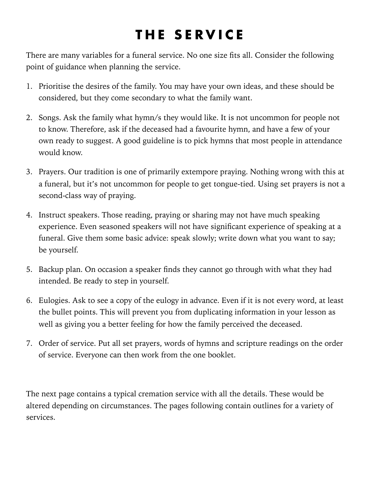### <span id="page-7-0"></span> **THE SERVICE**

There are many variables for a funeral service. No one size fits all. Consider the following point of guidance when planning the service.

- 1. Prioritise the desires of the family. You may have your own ideas, and these should be considered, but they come secondary to what the family want.
- 2. Songs. Ask the family what hymn/s they would like. It is not uncommon for people not to know. Therefore, ask if the deceased had a favourite hymn, and have a few of your own ready to suggest. A good guideline is to pick hymns that most people in attendance would know.
- 3. Prayers. Our tradition is one of primarily extempore praying. Nothing wrong with this at a funeral, but it's not uncommon for people to get tongue-tied. Using set prayers is not a second-class way of praying.
- 4. Instruct speakers. Those reading, praying or sharing may not have much speaking experience. Even seasoned speakers will not have significant experience of speaking at a funeral. Give them some basic advice: speak slowly; write down what you want to say; be yourself.
- 5. Backup plan. On occasion a speaker finds they cannot go through with what they had intended. Be ready to step in yourself.
- 6. Eulogies. Ask to see a copy of the eulogy in advance. Even if it is not every word, at least the bullet points. This will prevent you from duplicating information in your lesson as well as giving you a better feeling for how the family perceived the deceased.
- 7. Order of service. Put all set prayers, words of hymns and scripture readings on the order of service. Everyone can then work from the one booklet.

The next page contains a typical cremation service with all the details. These would be altered depending on circumstances. The pages following contain outlines for a variety of services.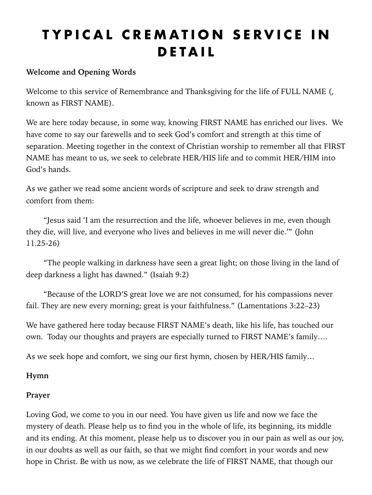### <span id="page-8-0"></span>**TYPICAL CREMATION SERVICE IN DETAIL**

#### **Welcome and Opening Words**

Welcome to this service of Remembrance and Thanksgiving for the life of FULL NAME (, known as FIRST NAME).

We are here today because, in some way, knowing FIRST NAME has enriched our lives. We have come to say our farewells and to seek God's comfort and strength at this time of separation. Meeting together in the context of Christian worship to remember all that FIRST NAME has meant to us, we seek to celebrate HER/HIS life and to commit HER/HIM into God's hands.

As we gather we read some ancient words of scripture and seek to draw strength and comfort from them:

 "Jesus said 'I am the resurrection and the life, whoever believes in me, even though they die, will live, and everyone who lives and believes in me will never die.'" (John 11.25-26)

 "The people walking in darkness have seen a great light; on those living in the land of deep darkness a light has dawned." (Isaiah 9:2)

 "Because of the LORD'S great love we are not consumed, for his compassions never fail. They are new every morning; great is your faithfulness." (Lamentations 3:22–23)

We have gathered here today because FIRST NAME's death, like his life, has touched our own. Today our thoughts and prayers are especially turned to FIRST NAME's family….

As we seek hope and comfort, we sing our first hymn, chosen by HER/HIS family…

#### **Hymn**

#### **Prayer**

Loving God, we come to you in our need. You have given us life and now we face the mystery of death. Please help us to find you in the whole of life, its beginning, its middle and its ending. At this moment, please help us to discover you in our pain as well as our joy, in our doubts as well as our faith, so that we might find comfort in your words and new hope in Christ. Be with us now, as we celebrate the life of FIRST NAME, that though our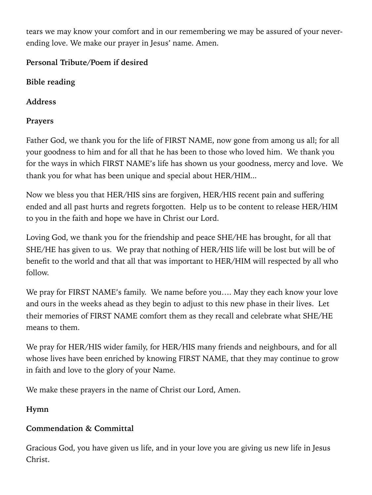tears we may know your comfort and in our remembering we may be assured of your neverending love. We make our prayer in Jesus' name. Amen.

#### **Personal Tribute/Poem if desired**

**Bible reading** 

**Address** 

#### **Prayers**

Father God, we thank you for the life of FIRST NAME, now gone from among us all; for all your goodness to him and for all that he has been to those who loved him. We thank you for the ways in which FIRST NAME's life has shown us your goodness, mercy and love. We thank you for what has been unique and special about HER/HIM...

Now we bless you that HER/HIS sins are forgiven, HER/HIS recent pain and suffering ended and all past hurts and regrets forgotten. Help us to be content to release HER/HIM to you in the faith and hope we have in Christ our Lord.

Loving God, we thank you for the friendship and peace SHE/HE has brought, for all that SHE/HE has given to us. We pray that nothing of HER/HIS life will be lost but will be of benefit to the world and that all that was important to HER/HIM will respected by all who follow.

We pray for FIRST NAME's family. We name before you.... May they each know your love and ours in the weeks ahead as they begin to adjust to this new phase in their lives. Let their memories of FIRST NAME comfort them as they recall and celebrate what SHE/HE means to them.

We pray for HER/HIS wider family, for HER/HIS many friends and neighbours, and for all whose lives have been enriched by knowing FIRST NAME, that they may continue to grow in faith and love to the glory of your Name.

We make these prayers in the name of Christ our Lord, Amen.

**Hymn**

#### **Commendation & Committal**

Gracious God, you have given us life, and in your love you are giving us new life in Jesus Christ.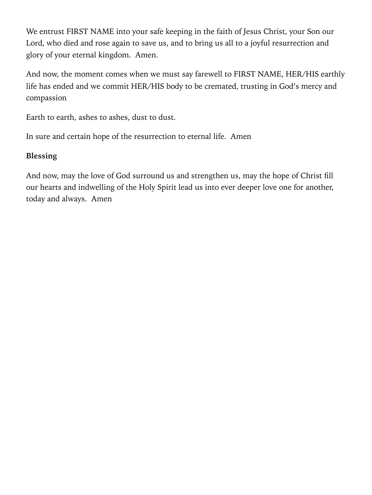We entrust FIRST NAME into your safe keeping in the faith of Jesus Christ, your Son our Lord, who died and rose again to save us, and to bring us all to a joyful resurrection and glory of your eternal kingdom. Amen.

And now, the moment comes when we must say farewell to FIRST NAME, HER/HIS earthly life has ended and we commit HER/HIS body to be cremated, trusting in God's mercy and compassion

Earth to earth, ashes to ashes, dust to dust.

In sure and certain hope of the resurrection to eternal life. Amen

#### **Blessing**

And now, may the love of God surround us and strengthen us, may the hope of Christ fill our hearts and indwelling of the Holy Spirit lead us into ever deeper love one for another, today and always. Amen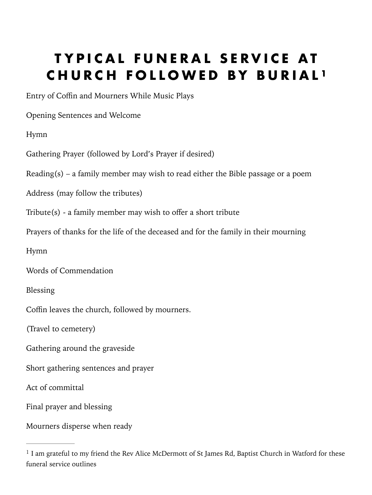### <span id="page-11-2"></span><span id="page-11-0"></span>**TYPICAL FUNERAL SERVICE AT CHURCH FOLLOWED BY BURIAL [1](#page-11-1)**

Entry of Coffin and Mourners While Music Plays

Opening Sentences and Welcome

Hymn

Gathering Prayer (followed by Lord's Prayer if desired)

Reading(s) – a family member may wish to read either the Bible passage or a poem

Address (may follow the tributes)

Tribute(s) - a family member may wish to offer a short tribute

Prayers of thanks for the life of the deceased and for the family in their mourning

Hymn

Words of Commendation

Blessing

Coffin leaves the church, followed by mourners.

(Travel to cemetery)

Gathering around the graveside

Short gathering sentences and prayer

Act of committal

Final prayer and blessing

Mourners disperse when ready

<span id="page-11-1"></span> $<sup>1</sup>$  $<sup>1</sup>$  $<sup>1</sup>$  I am grateful to my friend the Rev Alice McDermott of St James Rd, Baptist Church in Watford for these</sup> funeral service outlines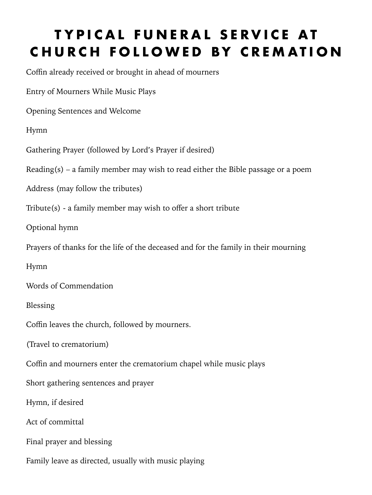### <span id="page-12-0"></span>**TYPICAL FUNERAL SERVICE AT CHURCH FOLLOWED BY CREMATION**

Coffin already received or brought in ahead of mourners

Entry of Mourners While Music Plays

Opening Sentences and Welcome

Hymn

Gathering Prayer (followed by Lord's Prayer if desired)

Reading(s) – a family member may wish to read either the Bible passage or a poem

Address (may follow the tributes)

Tribute(s) - a family member may wish to offer a short tribute

Optional hymn

Prayers of thanks for the life of the deceased and for the family in their mourning

Hymn

Words of Commendation

Blessing

Coffin leaves the church, followed by mourners.

(Travel to crematorium)

Coffin and mourners enter the crematorium chapel while music plays

Short gathering sentences and prayer

Hymn, if desired

Act of committal

Final prayer and blessing

Family leave as directed, usually with music playing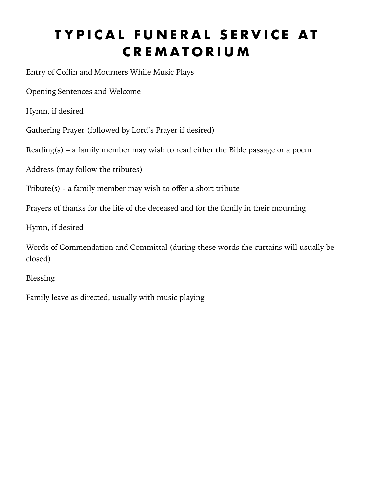### <span id="page-13-0"></span>**TYPICAL FUNERAL SERVICE AT CREMATORIUM**

Entry of Coffin and Mourners While Music Plays

Opening Sentences and Welcome

Hymn, if desired

Gathering Prayer (followed by Lord's Prayer if desired)

Reading(s) – a family member may wish to read either the Bible passage or a poem

Address (may follow the tributes)

Tribute(s) - a family member may wish to offer a short tribute

Prayers of thanks for the life of the deceased and for the family in their mourning

Hymn, if desired

Words of Commendation and Committal (during these words the curtains will usually be closed)

Blessing

Family leave as directed, usually with music playing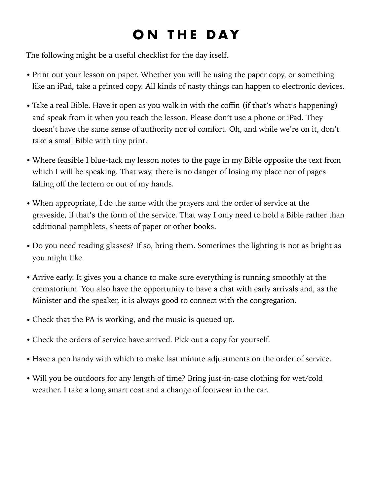## <span id="page-14-0"></span>**ON THE DAY**

The following might be a useful checklist for the day itself.

- Print out your lesson on paper. Whether you will be using the paper copy, or something like an iPad, take a printed copy. All kinds of nasty things can happen to electronic devices.
- Take a real Bible. Have it open as you walk in with the coffin (if that's what's happening) and speak from it when you teach the lesson. Please don't use a phone or iPad. They doesn't have the same sense of authority nor of comfort. Oh, and while we're on it, don't take a small Bible with tiny print.
- Where feasible I blue-tack my lesson notes to the page in my Bible opposite the text from which I will be speaking. That way, there is no danger of losing my place nor of pages falling off the lectern or out of my hands.
- When appropriate, I do the same with the prayers and the order of service at the graveside, if that's the form of the service. That way I only need to hold a Bible rather than additional pamphlets, sheets of paper or other books.
- Do you need reading glasses? If so, bring them. Sometimes the lighting is not as bright as you might like.
- Arrive early. It gives you a chance to make sure everything is running smoothly at the crematorium. You also have the opportunity to have a chat with early arrivals and, as the Minister and the speaker, it is always good to connect with the congregation.
- Check that the PA is working, and the music is queued up.
- Check the orders of service have arrived. Pick out a copy for yourself.
- Have a pen handy with which to make last minute adjustments on the order of service.
- Will you be outdoors for any length of time? Bring just-in-case clothing for wet/cold weather. I take a long smart coat and a change of footwear in the car.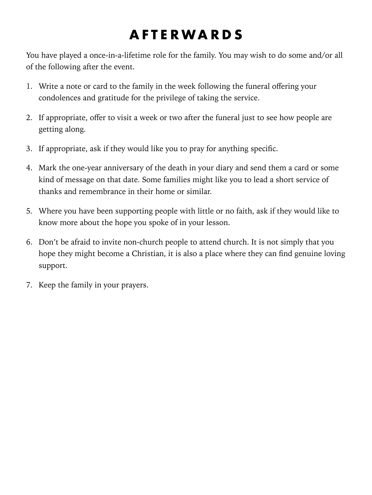### <span id="page-15-0"></span>**AFTERWARDS**

You have played a once-in-a-lifetime role for the family. You may wish to do some and/or all of the following after the event.

- 1. Write a note or card to the family in the week following the funeral offering your condolences and gratitude for the privilege of taking the service.
- 2. If appropriate, offer to visit a week or two after the funeral just to see how people are getting along.
- 3. If appropriate, ask if they would like you to pray for anything specific.
- 4. Mark the one-year anniversary of the death in your diary and send them a card or some kind of message on that date. Some families might like you to lead a short service of thanks and remembrance in their home or similar.
- 5. Where you have been supporting people with little or no faith, ask if they would like to know more about the hope you spoke of in your lesson.
- 6. Don't be afraid to invite non-church people to attend church. It is not simply that you hope they might become a Christian, it is also a place where they can find genuine loving support.
- 7. Keep the family in your prayers.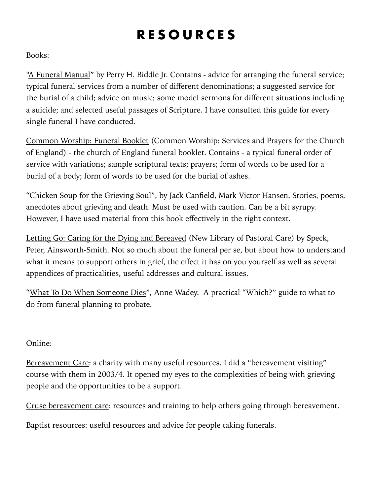### <span id="page-16-0"></span>**RESOURCES**

Books:

["A Funeral Manual"](https://smile.amazon.co.uk/dp/B002ACPI26/ref=cm_sw_em_r_mt_dp_U_FwfmEb0BZ3EHE) by Perry H. Biddle Jr. Contains - advice for arranging the funeral service; typical funeral services from a number of different denominations; a suggested service for the burial of a child; advice on music; some model sermons for different situations including a suicide; and selected useful passages of Scripture. I have consulted this guide for every single funeral I have conducted.

[Common Worship: Funeral Booklet](https://smile.amazon.co.uk/dp/B0094DE6RW/ref=cm_sw_em_r_mt_dp_U_GzfmEbRD58JW7) (Common Worship: Services and Prayers for the Church of England) - the church of England funeral booklet. Contains - a typical funeral order of service with variations; sample scriptural texts; prayers; form of words to be used for a burial of a body; form of words to be used for the burial of ashes.

["Chicken Soup for the Grieving Soul"](https://smile.amazon.co.uk/dp/1623611016/ref=cm_sw_em_r_mt_dp_U_yDfmEbT6197B6), by Jack Canfield, Mark Victor Hansen. Stories, poems, anecdotes about grieving and death. Must be used with caution. Can be a bit syrupy. However, I have used material from this book effectively in the right context.

[Letting Go: Caring for the Dying and Bereaved](https://smile.amazon.co.uk/dp/0281052255/ref=cm_sw_em_r_mt_dp_U_TGfmEb5WRQS7Z) (New Library of Pastoral Care) by Speck, Peter, Ainsworth-Smith. Not so much about the funeral per se, but about how to understand what it means to support others in grief, the effect it has on you yourself as well as several appendices of practicalities, useful addresses and cultural issues.

"[What To Do When Someone Dies"](https://smile.amazon.co.uk/dp/1844901270/?coliid=I2ADOOD2QOJN2R&colid=1RDYOTE19G0WD&psc=0), Anne Wadey. A practical "Which?" guide to what to do from funeral planning to probate.

#### Online:

[Bereavement Care:](http://www.bereavementcareandsupport.co.uk/) a charity with many useful resources. I did a "bereavement visiting" course with them in 2003/4. It opened my eyes to the complexities of being with grieving people and the opportunities to be a support.

[Cruse bereavement care:](https://www.cruse.org.uk/) resources and training to help others going through bereavement.

[Baptist resources](https://www.baptist.org.uk/Articles/371528/Practical_guidance_for.aspx): useful resources and advice for people taking funerals.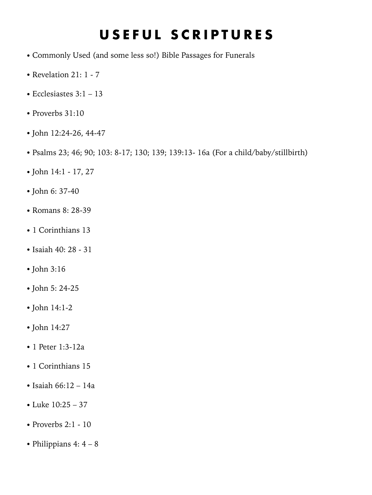### <span id="page-17-0"></span>**USEFUL SCRIPTURES**

- Commonly Used (and some less so!) Bible Passages for Funerals
- Revelation 21: 1 7
- Ecclesiastes 3:1 13
- Proverbs 31:10
- John 12:24-26, 44-47
- Psalms 23; 46; 90; 103: 8-17; 130; 139; 139:13- 16a (For a child/baby/stillbirth)
- John 14:1 17, 27
- John 6: 37-40
- Romans 8: 28-39
- 1 Corinthians 13
- Isaiah 40: 28 31
- John 3:16
- John 5: 24-25
- John 14:1-2
- John 14:27
- 1 Peter 1:3-12a
- 1 Corinthians 15
- Isaiah 66:12 14a
- Luke 10:25 37
- Proverbs 2:1 10
- Philippians 4: 4 8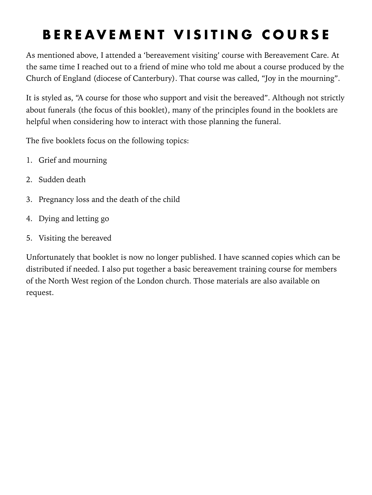### <span id="page-18-0"></span>**BEREAVEMENT VISITING COURSE**

As mentioned above, I attended a 'bereavement visiting' course with Bereavement Care. At the same time I reached out to a friend of mine who told me about a course produced by the Church of England (diocese of Canterbury). That course was called, "Joy in the mourning".

It is styled as, "A course for those who support and visit the bereaved". Although not strictly about funerals (the focus of this booklet), many of the principles found in the booklets are helpful when considering how to interact with those planning the funeral.

The five booklets focus on the following topics:

- 1. Grief and mourning
- 2. Sudden death
- 3. Pregnancy loss and the death of the child
- 4. Dying and letting go
- 5. Visiting the bereaved

Unfortunately that booklet is now no longer published. I have scanned copies which can be distributed if needed. I also put together a basic bereavement training course for members of the North West region of the London church. Those materials are also available on request.